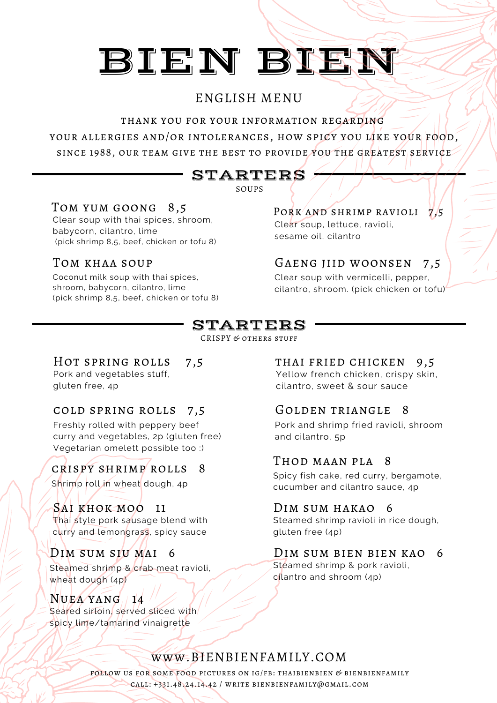# ENGLISH MENU

thank you for your information regarding

your allergies and/or intolerances, how spicy you like your food, since 1988, our team give the best to provide you the greatest service

# STARTERS

SOUPS

Clear soup with thai spices, shroom, babycorn, cilantro, lime (pick shrimp 8,5, beef, chicken or tofu 8)

Coconut milk soup with thai spices, shroom, babycorn, cilantro, lime (pick shrimp 8,5, beef, chicken or tofu 8)

#### TOM YUM GOONG  $8,5$  PORK AND SHRIMP RAVIOLI  $\frac{1}{2},5$ Clear soup, lettuce, ravioli, sesame oil, cilantro

# Tom khaa soup Gaeng jiid woonsen 7,5

Clear soup with vermicelli, pepper, cilantro, shroom. (pick chicken or tofu)

# STARTERS

CRISPY  $\mathcal C$  others stuff

Pork and vegetables stuff, gluten free, 4p

### cold spring rolls 7,5 Golden triangle 8

Freshly rolled with peppery beef curry and vegetables, 2p (gluten free) Vegetarian omelett possible too :)

# crispy shrimp rolls 8

Shrimp roll in wheat dough, 4p

### SAI KHOK MOO 11

Thai style pork sausage blend with curry and lemongrass, spicy sauce

Steamed shrimp & crab meat ravioli, wheat dough (4p)

### $N$ uea  $Y$ A $N$  $G$   $14$

Seared sirtoin, served sliced with spicy lime/tamarind vinaigrette

#### HOT SPRING ROLLS 7,5 THAI FRIED CHICKEN 9,5

Yellow french chicken, crispy skin, cilantro, sweet & sour sauce

Pork and shrimp fried ravioli, shroom and cilantro, 5p

### Thod maan pla 8

Spicy fish cake, red curry, bergamote, cucumber and cilantro sauce, 4p

#### DIM SUM HAKAO 6

Steamed shrimp ravioli in rice dough, gluten free (4p)

#### Dim sum siu mai 6 Dim sum bien bien kao 6

Steamed shrimp & pork ravioli, cilantro and shroom (4p)

# www.BIENBIENFAMILY.COM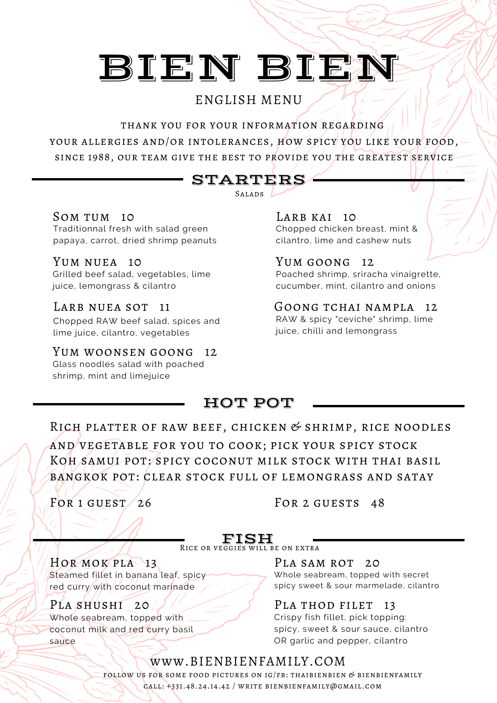# ENGLISH MENU

thank you for your information regarding your allergies and/or intolerances, how spicy you like your food, since 1988, our team give the best to provide you the GREATEST SERVICE

# STARTERS

 $SALADS$ 

SOM TUM 10 Traditionnal fresh with salad green papaya, carrot, dried shrimp peanuts

Grilled beef salad, vegetables, lime juice, lemongrass & cilantro YUM NUEA 10

LARB NUEA SOT 11

Chopped RAW beef salad, spices and lime juice, cilantro, vegetables

Yum woonsen goong 12 Glass noodles salad with poached shrimp, mint and limejuice

Chopped chicken breast, mint & cilantro, lime and cashew nuts LARB KAI 10

Poached shrimp, sriracha vinaigrette, cucumber, mint, cilantro and onions YUM GOONG 12

RAW & spicy "ceviche" shrimp, lime juice, chilli and lemongrass GOONG TCHAI NAMPLA 12

# HOT POT

RICH PLATTER OF RAW BEEF, CHICKEN  $&$  SHRIMP, RICE NOODLES and vegetable for you to cook; pick your spicy stock Koh samui pot: spicy coconut milk stock with thai basil bangkok pot: clear stock full of lemongrass and satay

FOR  $1$  GUEST  $/$  26 FOR  $2$  GUESTS  $48$ 

**FISH**<br>Rice or veggies will be on extra

Hor mok pla 13 Steamed fillet in banana leaf, spicy red curry with coconut marinade

PLA SHUSHI 20  $\sqrt{2}$  PLA THOD FILET 13 Whole seabream, topped with coconut milk and red curry basil sauce

PLA SAM ROT 20 Whole seabream, topped with secret spicy sweet & sour marmelade, cilantro

Crispy fish fillet, pick topping: spicy, sweet & sour sauce, cilantro OR garlic and pepper, cilantro

## www.BIENBIENFAMILY.COM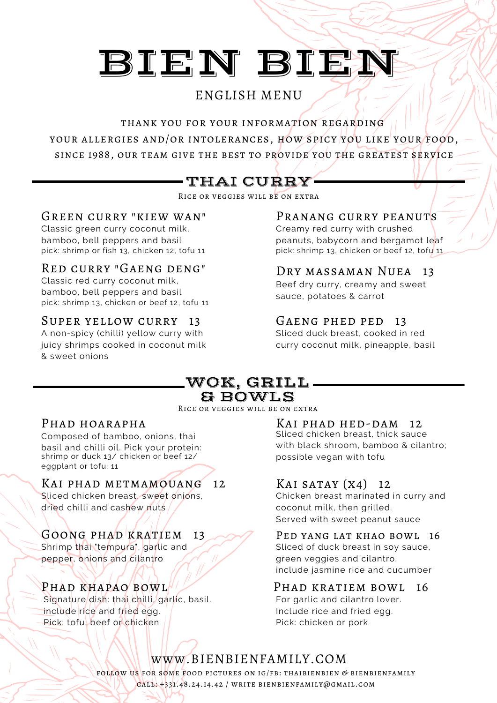# ENGLISH MENU

thank you for your information regarding your allergies and/or intolerances, how spicy you like your food, since 1988, our team give the best to provide you the greatest service

# THAI CURRY

Rice or veggies will be on extra

#### Green curry "kiew wan"

Classic green curry coconut milk, bamboo, bell peppers and basil pick: shrimp or fish 13, chicken 12, tofu 11

### Red curry "Gaeng deng"

Classic red curry coconut milk, bamboo, bell peppers and basil pick: shrimp 13, chicken or beef 12, tofu 11

### Super yellow curry 13

A non-spicy (chilli) yellow curry with juicy shrimps cooked in coconut milk & sweet onions

## PRANANG CURRY PEANUTS

Creamy red curry with crushed peanuts, babycorn and bergamot leaf pick: shrimp 13, chicken or beef 12, tofu 11

### Dry massaman Nuea 13

Beef dry curry, creamy and sweet sauce, potatoes & carrot

#### GAENG PHED PED 13

Sliced duck breast, cooked in red curry coconut milk, pineapple, basil

#### WOK, GRILL & BOWLS

#### Rice or veggies will be on extra

#### PHAD HOARAPHA

Composed of bamboo, onions, thai basil and chilli oil. Pick your protein: shrimp or duck 13/ chicken or beef 12/ possible vegan with tofu eggplant or tofu: 11

### Kai phad metmamouang 12

Sliced chicken breast, sweet onions, dried chilli and cashew nuts

### Goong phad kratiem 13

Shrimp thai 'tempura', garlic and pepper, onions and cilantro

# Phad khapao bowl

Signature/dish: thai chilli, garlic, basil. include rice and fried egg. Pick: tofu, beef or chicken

#### Kai phad hed-dam 12

Sliced chicken breast, thick sauce with black shroom, bamboo & cilantro;

#### KAI SATAY  $(X4)$  12

Chicken breast marinated in curry and coconut milk, then grilled. Served with sweet peanut sauce

#### PED YANG LAT KHAO BOWL 16

Sliced of duck breast in soy sauce, green veggies and cilantro. include jasmine rice and cucumber

#### PHAD KRATIEM BOWL 16

For garlic and cilantro lover. Include rice and fried egg. Pick: chicken or pork

# www.BIENBIENFAMILY.COM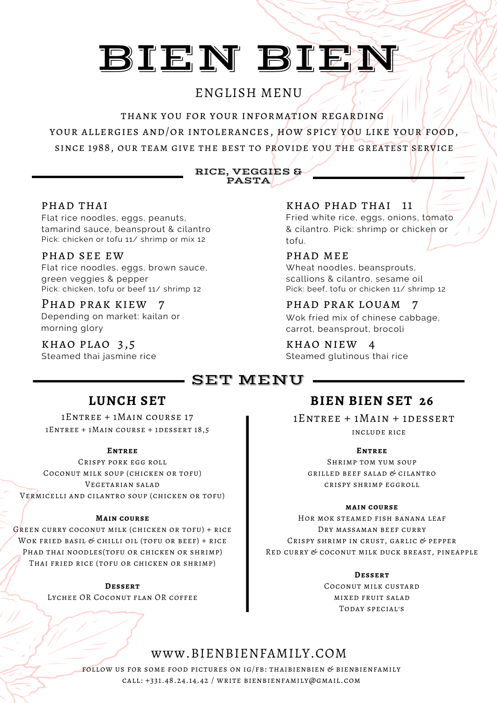# ENGLISH MENU

thank you for your information regarding your allergies and/or intolerances, how spicy you like your food, since 1988, our team give the best to provide you the greatest service

#### RICE, VEGGIES & PASTA

#### PHAD THAI

Flat rice noodles, eggs, peanuts, tamarind sauce, beansprout & cilantro Pick: chicken or tofu 11/ shrimp or mix 12

#### phad see ew

Flat rice noodles, eggs, brown sauce, green veggies & pepper Pick: chicken, tofu or beef 11/ shrimp 12

# Phad prak kiew 7

Depending on market: kailan or morning glory

khao plao 3,5 khao niew 4 Steamed thai jasmine rice

#### khao phad thai 11

Fried white rice, eggs, onions, tomato & cilantro. Pick: shrimp or chicken or tofu.

#### phad mee

Wheat noodles, beansprouts, scallions & cilantro, sesame oil Pick: beef, tofu or chicken 11/ shrimp 12

#### phad prak louam 7 Wok fried mix of chinese cabbage, carrot, beansprout, brocoli

Steamed glutinous thai rice

# SET MENU.

1Entree + 1Main course 17 1Entree + 1Main course + 1dessert 18,5

#### **Entree**

Crispy pork egg roll Coconut milk soup (chicken or tofu) Vegetarian salad Vermicelli and cilantro soup (chicken or tofu)

#### **Main course**

Green curry coconut milk (chicken or tofu) + rice WOK FRIED BASIL & CHILLI OIL (TOFU OR BEEF) + RICE PHAD THAI NOODLES(TOFU OR CHICKEN OR SHRIMP) Thai fried rice (tofu or chicken or shrimp)

> **Dessert** Lychee OR Coconut flan OR coffee

# **LUNCH SET BIEN BIEN SET 26**

1Entree + 1Main + 1dessert include rice

#### **Entree**

Shrimp tom yum soup grilled beef salad & cilantro crispy shrimp eggroll

#### **main course**

Hor mok steamed fish banana leaf DRY MASSAMAN BEEF CURRY Crispy shrimp in crust, garlic & pepper Red curry & coconut milk duck breast, pineapple

**Dessert**

Coconut milk custard mixed fruit salad Today special's

# www.BIENBIENFAMILY.COM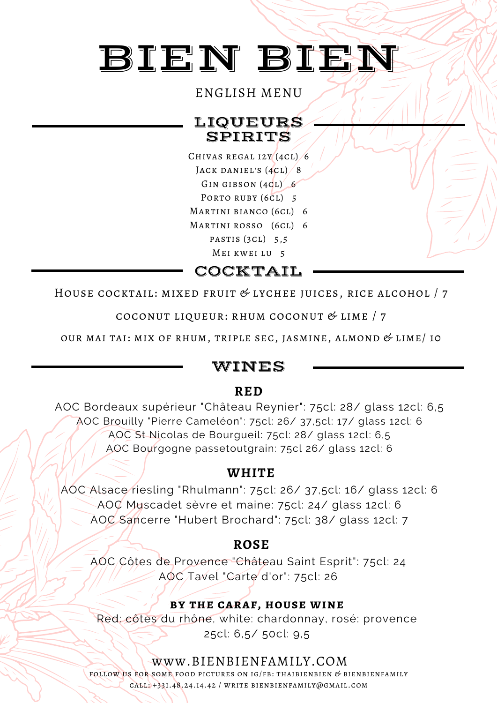# ENGLISH MENU

# LIQUEURS SPIRITS

Chivas regal 12y (4cl) 6 JACK DANIEL'S  $(4CL)/8$ GIN GIBSON (4CL) 6 PORTO RUBY (6CL) 5

Martini bianco (6cl) 6

Martini rosso (6cl) 6

pastis (3cl) 5,5 Mei kwei lu 5

COCKTAIL

HOUSE COCKTAIL: MIXED FRUIT  $&$  LYCHEE JUICES, RICE ALCOHOL  $/7$ 

coconut liqueur: rhum coconut & lime / 7

OUR MAI TAI: MIX OF RHUM, TRIPLE SEC, JASMINE, ALMOND  $&$  LIME/10

## WINES

## **RED**

AOC Bordeaux supérieur "Château Reynier": 75cl: 28/ glass 12cl: 6,5 AOC Brouilly "Pierre Cameléon": 75cl: 26/ 37,5cl: 17/ glass 12cl: 6 AOC St Nicolas de Bourgueil: 75cl: 28/ glass 12cl: 6,5 AOC Bourgogne passetoutgrain: 75cl 26/ glass 12cl: 6

### **WHITE**

AOC Alsace riesling "Rhulmann": 75cl: 26/ 37,5cl: 16/ glass 12cl: 6 AOC Muscadet sèvre et maine: 75cl: 24/ glass 12cl: 6 AOC Sancerre "Hubert Brochard": 75cl: 38/ glass 12cl: 7

## **ROSE**

AOC Côtes de Provence "Château Saint Esprit": 75cl: 24 AOC Tavel "Carte d'or": 75cl: 26

### **by the caraf, house wine**

Red: côtes du rhône, white: chardonnay, rosé: provence 25cl: 6,5/ 50cl: 9,5

## www.BIENBIENFAMILY.COM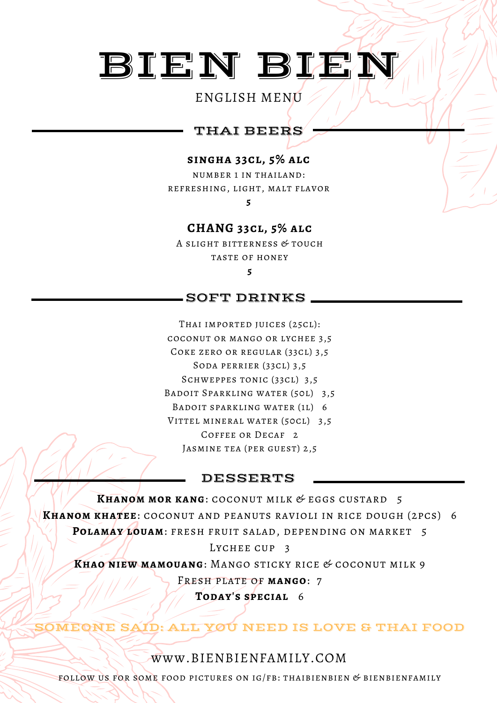### ENGLISH MENU

# THAI BEERS

#### **singha 33cl, 5% alc**

number 1 in thailand: refreshing, light, malt flavor

**5**

#### **CHANG 33cl, 5% alc**

A slight bitterness & touch TASTE OF HONEY **5**

### SOFT DRINKS

THAI IMPORTED JUICES (25CL): coconut or mango or lychee 3,5 Coke zero or regular (33cl) 3,5 Soda perrier (33cl) 3,5 SCHWEPPES TONIC (33CL) 3,5 Badoit Sparkling water (50l) 3,5 Badoit sparkling water (1l) 6 VITTEL MINERAL WATER (50CL) 3,5 COFFEE OR DECAF<sub>2</sub> Jasmine tea (per guest) 2,5

#### DESSERTS

**Khanom mor kang**: coconut milk & eggs custard 5 **Khanom khatee**: coconut and peanuts ravioli in rice dough (2pcs) 6 **Polamay louam**: fresh fruit salad, depending on market 5 LYCHEE CUP<sub>3</sub> **Khao niew mamouang**: Mango sticky rice & coconut milk 9 Fresh plate of **mango**: 7 **Today's special** 6

EONE SAID: ALL YOU NEED IS LOVE & THAI FOOD

#### www.BIENBIENFAMILY.COM

FOLLOW US FOR SOME FOOD PICTURES ON  $IG/FB$ : THAIBIENBIEN & BIENBIENFAMILY